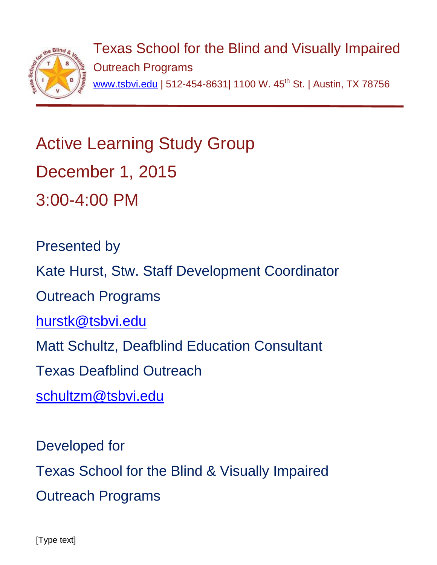

Texas School for the Blind and Visually Impaired Outreach Programs [www.tsbvi.edu](http://www.tsbvi.edu/) | 512-454-8631| 1100 W. 45<sup>th</sup> St. | Austin, TX 78756

Active Learning Study Group December 1, 2015 3:00-4:00 PM

Presented by Kate Hurst, Stw. Staff Development Coordinator Outreach Programs [hurstk@tsbvi.edu](mailto:hurstk@tsbvi.edu) Matt Schultz, Deafblind Education Consultant Texas Deafblind Outreach [schultzm@tsbvi.edu](mailto:schultzm@tsbvi.edu)

Developed for Texas School for the Blind & Visually Impaired Outreach Programs

[Type text]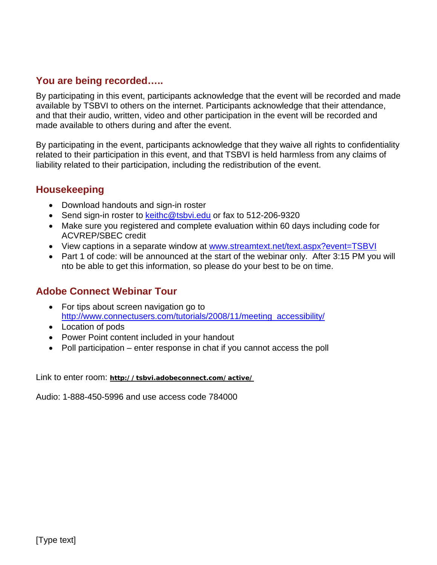### **You are being recorded…..**

By participating in this event, participants acknowledge that the event will be recorded and made available by TSBVI to others on the internet. Participants acknowledge that their attendance, and that their audio, written, video and other participation in the event will be recorded and made available to others during and after the event.

By participating in the event, participants acknowledge that they waive all rights to confidentiality related to their participation in this event, and that TSBVI is held harmless from any claims of liability related to their participation, including the redistribution of the event.

### **Housekeeping**

- Download handouts and sign-in roster
- Send sign-in roster to keithc@tsbyi.edu or fax to 512-206-9320
- Make sure you registered and complete evaluation within 60 days including code for ACVREP/SBEC credit
- View captions in a separate window at [www.streamtext.net/text.aspx?event=TSBVI](http://www.streamtext.net/text.aspx?event=TSBVI)
- Part 1 of code: will be announced at the start of the webinar only. After 3:15 PM you will nto be able to get this information, so please do your best to be on time.

### **Adobe Connect Webinar Tour**

- For tips about screen navigation go to [http://www.connectusers.com/tutorials/2008/11/meeting\\_accessibility/](http://www.connectusers.com/tutorials/2008/11/meeting_accessibility/)
- Location of pods
- Power Point content included in your handout
- Poll participation enter response in chat if you cannot access the poll

Link to enter room: **<http://tsbvi.adobeconnect.com/active/>**

Audio: 1-888-450-5996 and use access code 784000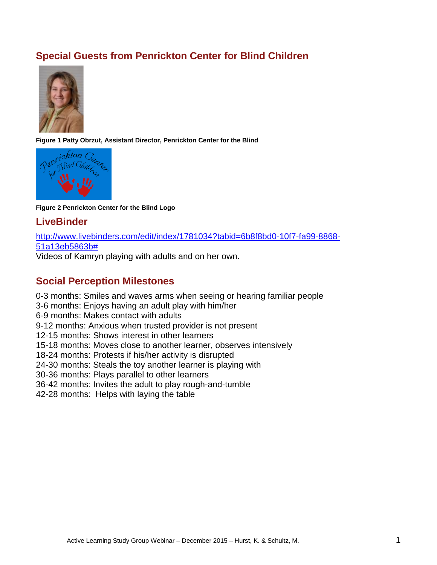## **Special Guests from Penrickton Center for Blind Children**



**Figure 1 Patty Obrzut, Assistant Director, Penrickton Center for the Blind**



#### **Figure 2 Penrickton Center for the Blind Logo**

### **LiveBinder**

[http://www.livebinders.com/edit/index/1781034?tabid=6b8f8bd0-10f7-fa99-8868-](http://www.livebinders.com/edit/index/1781034?tabid=6b8f8bd0-10f7-fa99-8868-51a13eb5863b) [51a13eb5863b#](http://www.livebinders.com/edit/index/1781034?tabid=6b8f8bd0-10f7-fa99-8868-51a13eb5863b)

Videos of Kamryn playing with adults and on her own.

### **Social Perception Milestones**

0-3 months: Smiles and waves arms when seeing or hearing familiar people

3-6 months: Enjoys having an adult play with him/her

6-9 months: Makes contact with adults

9-12 months: Anxious when trusted provider is not present

12-15 months: Shows interest in other learners

15-18 months: Moves close to another learner, observes intensively

18-24 months: Protests if his/her activity is disrupted

24-30 months: Steals the toy another learner is playing with

30-36 months: Plays parallel to other learners

36-42 months: Invites the adult to play rough-and-tumble

42-28 months: Helps with laying the table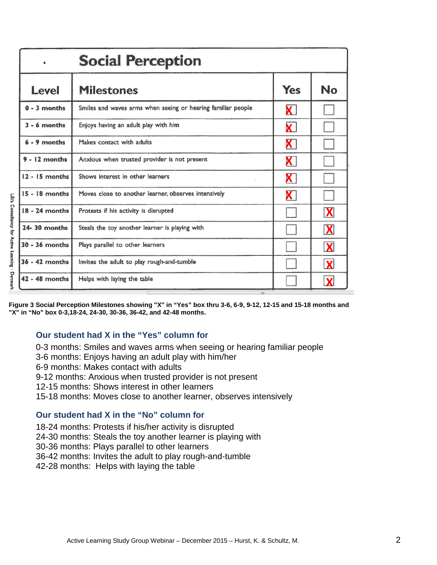| ¢.               | <b>Social Perception</b>                                     |                             |              |
|------------------|--------------------------------------------------------------|-----------------------------|--------------|
| Level            | <b>Milestones</b>                                            | <b>Yes</b>                  | No           |
| $0 - 3$ months   | Smiles and waves arms when seeing or hearing familiar people | $\mathbf{X}$                |              |
| $3 - 6$ months   | Enjoys having an adult play with him                         | $\mathbf{x}$ $\mathbf{I}$   |              |
| $6 - 9$ months   | Makes contact with adults                                    | $\mathsf{X}\mid$            |              |
| $9 - 12$ months  | Anxious when trusted provider is not present                 | $\mathsf{X}\, $             |              |
| $12 - 15$ months | Shows interest in other learners                             | $\boldsymbol{\mathsf{X}}$ ) |              |
| 15 - 18 months   | Moves close to another learner, observes intensively         | $\mathsf{X}\mid$            |              |
| 18 - 24 months   | Protests if his activity is disrupted                        |                             | X            |
| 24-30 months     | Steals the toy another learner is playing with               |                             | X            |
| $30 - 36$ months | Plays parallel to other learners                             |                             | X            |
| $36 - 42$ months | invites the adult to play rough-and-tumble                   |                             | $\mathbf{X}$ |
| $42 - 48$ months | Helps with laying the table                                  |                             | $\mathbf X$  |

**Figure 3 Social Perception Milestones showing "X" in "Yes" box thru 3-6, 6-9, 9-12, 12-15 and 15-18 months and "X" in "No" box 0-3,18-24, 24-30, 30-36, 36-42, and 42-48 months.**

#### **Our student had X in the "Yes" column for**

0-3 months: Smiles and waves arms when seeing or hearing familiar people

3-6 months: Enjoys having an adult play with him/her

6-9 months: Makes contact with adults

9-12 months: Anxious when trusted provider is not present

12-15 months: Shows interest in other learners

15-18 months: Moves close to another learner, observes intensively

#### **Our student had X in the "No" column for**

18-24 months: Protests if his/her activity is disrupted

24-30 months: Steals the toy another learner is playing with

30-36 months: Plays parallel to other learners

36-42 months: Invites the adult to play rough-and-tumble

42-28 months: Helps with laying the table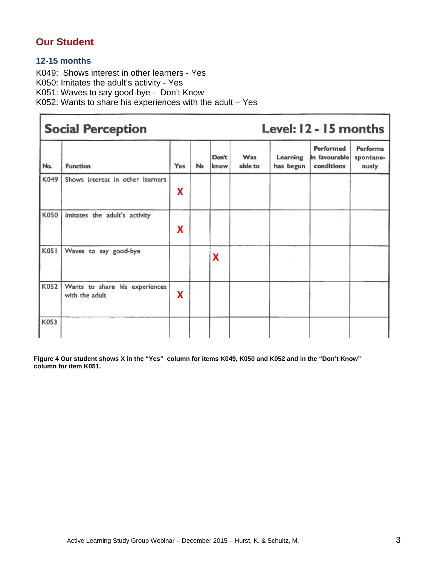#### **12-15 months**

K049: Shows interest in other learners - Yes K050: Imitates the adult's activity - Yes K051: Waves to say good-bye - Don't Know

K052: Wants to share his experiences with the adult – Yes

#### Level: 12 - 15 months **Social Perception** Performed Performs Was Learning in favourable Don't spontaneconditions Na **Function** Yes  $N<sub>b</sub>$ know able to has begun ously K049 Shows interest in other learners **X** K050 Imitates the adult's activity **X**   $K051$ Waves to say good-bye **X** K052 Wants to share his experiences **X** with the adult K053

**Figure 4 Our student shows X in the "Yes" column for items K049, K050 and K052 and in the "Don't Know" column for item K051.**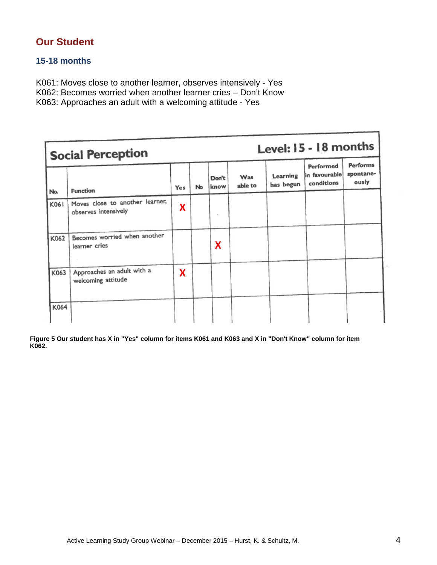#### **15-18 months**

K061: Moves close to another learner, observes intensively - Yes K062: Becomes worried when another learner cries – Don't Know

K063: Approaches an adult with a welcoming attitude - Yes

|      | <b>Social Perception</b>                                |     |    |               |                |                       | Level: 15 - 18 months                    |                                |
|------|---------------------------------------------------------|-----|----|---------------|----------------|-----------------------|------------------------------------------|--------------------------------|
| No.  | <b>Function</b>                                         | Yes | No | Don't<br>know | Was<br>able to | Learning<br>has begun | Performed<br>in favourable<br>conditions | Performs<br>spontane-<br>ously |
| K061 | Moves close to another learner,<br>observes intensively | X   |    |               |                |                       |                                          |                                |
| K062 | Becomes worried when another<br>learner cries           |     |    | X             |                |                       |                                          |                                |
| K063 | Approaches an adult with a<br>welcoming attitude        | X   |    |               |                |                       |                                          |                                |
| K064 |                                                         |     |    |               |                |                       |                                          |                                |

**Figure 5 Our student has X in "Yes" column for items K061 and K063 and X in "Don't Know" column for item K062.**

٦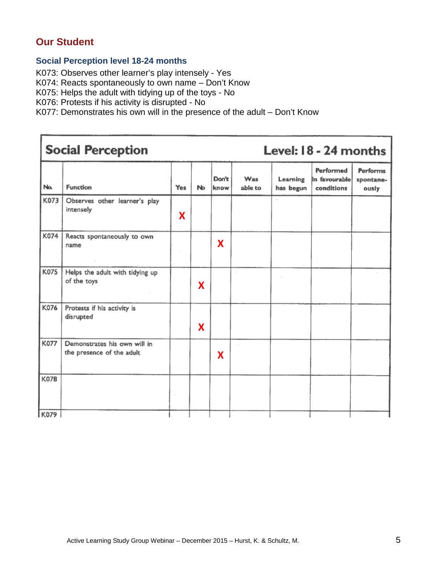#### **Social Perception level 18-24 months**

K073: Observes other learner's play intensely - Yes

K074: Reacts spontaneously to own name – Don't Know

K075: Helps the adult with tidying up of the toys - No

K076: Protests if his activity is disrupted - No

K077: Demonstrates his own will in the presence of the adult – Don't Know

|      | <b>Social Perception</b>                                  |     | Level: 18 - 24 months |               |                |                       |                                          |                                |
|------|-----------------------------------------------------------|-----|-----------------------|---------------|----------------|-----------------------|------------------------------------------|--------------------------------|
| No.  | <b>Function</b>                                           | Yes | Nb                    | Don't<br>know | Was<br>able to | Learning<br>has begun | Performed<br>in favourable<br>conditions | Performs<br>spontane-<br>ously |
| K073 | Observes other learner's play<br>intensely                | X   |                       |               |                | $\sim$                |                                          |                                |
| K074 | Reacts spontaneously to own<br>name                       |     |                       | X             |                |                       |                                          |                                |
| K075 | Helps the adult with tidying up<br>of the toys            |     | X                     |               |                |                       |                                          |                                |
| K076 | Protests if his activity is<br>disrupted                  |     | X                     |               |                |                       |                                          |                                |
| K077 | Demonstrates his own will in<br>the presence of the adult |     |                       | X             |                |                       |                                          |                                |
| K078 |                                                           |     |                       |               |                |                       |                                          |                                |
| K079 |                                                           |     |                       |               |                |                       |                                          |                                |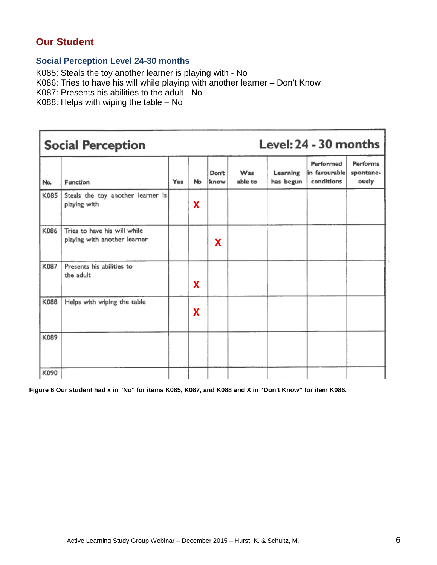#### **Social Perception Level 24-30 months**

K085: Steals the toy another learner is playing with - No

K086: Tries to have his will while playing with another learner – Don't Know

K087: Presents his abilities to the adult - No

K088: Helps with wiping the table – No

|      | <b>Social Perception</b>                                     | Level: 24 - 30 months |    |               |                |                       |                                          |                                |
|------|--------------------------------------------------------------|-----------------------|----|---------------|----------------|-----------------------|------------------------------------------|--------------------------------|
| No.  | <b>Function</b>                                              | Yes                   | No | Don't<br>know | Was<br>able to | Learning<br>has begun | Performed<br>in favourable<br>conditions | Performs<br>spontane-<br>ously |
| K085 | Steals the toy another learner is<br>playing with            |                       | X  |               |                |                       |                                          |                                |
| K086 | Tries to have his will while<br>playing with another learner |                       |    | X             |                |                       |                                          |                                |
| K087 | Presents his abilities to<br>the adult                       |                       | X  |               |                |                       |                                          |                                |
| K088 | Helps with wiping the table                                  |                       | X  |               |                |                       |                                          |                                |
| K089 |                                                              |                       |    |               |                |                       |                                          |                                |
| K090 |                                                              |                       |    |               |                |                       |                                          |                                |

**Figure 6 Our student had x in "No" for items K085, K087, and K088 and X in "Don't Know" for item K086.**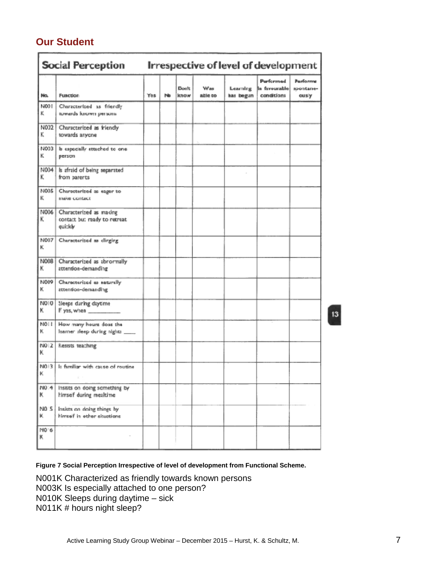|                       |                                                                    |     |     | <b>Don't</b> | Was     | Learning  | Performed<br>in favourable | Parforme<br>spontane- |
|-----------------------|--------------------------------------------------------------------|-----|-----|--------------|---------|-----------|----------------------------|-----------------------|
| Na.                   | Function                                                           | Yes | hla | know         | able to | has begun | conditions                 | ously                 |
| NO) I<br>ĸ            | Characterized as friendly<br>tuwards kirown persons                |     |     |              |         |           |                            |                       |
| N032<br>κ             | Characterized as friendly<br>towards anyone                        |     |     |              |         |           |                            |                       |
| NO33<br>κ             | <b>b</b> capacially stuched to one<br>person                       |     |     |              |         |           |                            |                       |
| N004<br>κ             | Is afraid of being separated<br>from parents                       |     |     |              |         |           |                            |                       |
| NOD5<br>ĸ             | Characterized as eager to<br>make contact                          |     |     |              |         |           |                            |                       |
| N006<br>κ             | Characterized as making<br>contact but ready to retreat<br>quickly |     |     |              |         |           |                            |                       |
| N007<br>κ             | Characterized as clinging                                          |     |     |              |         |           |                            |                       |
| 180001<br>ĸ           | Characterized as abrormally<br>attention-demanding                 |     |     |              |         |           |                            |                       |
| N009<br>κ             | Characterized as naturally<br>attention-demanding                  |     |     |              |         |           |                            |                       |
| NO10<br>ĸ             | Sleeps during daytime<br>If yes, when                              |     |     |              |         |           |                            |                       |
| NOI I<br>κ            | How many hours doss the<br>learner sleep during nights _____       |     |     |              |         |           |                            |                       |
| NO <sub>2</sub><br>κ  | <b>Resists teaching</b>                                            |     |     |              |         |           |                            |                       |
| NO <sub>13</sub><br>ĸ | It familiar with cause of routine                                  |     |     |              |         |           |                            |                       |
| N0:4<br>κ             | Insists on doing samething by<br>himself during mealtime           |     |     |              |         |           |                            |                       |
| NO 5<br>ĸ             | Insists on doing things by<br>himself in other situations          |     |     |              |         |           |                            |                       |
| N0'6<br>κ             |                                                                    |     |     |              |         |           |                            |                       |

#### **Figure 7 Social Perception Irrespective of level of development from Functional Scheme.**

N001K Characterized as friendly towards known persons N003K Is especially attached to one person? N010K Sleeps during daytime – sick N011K # hours night sleep?

13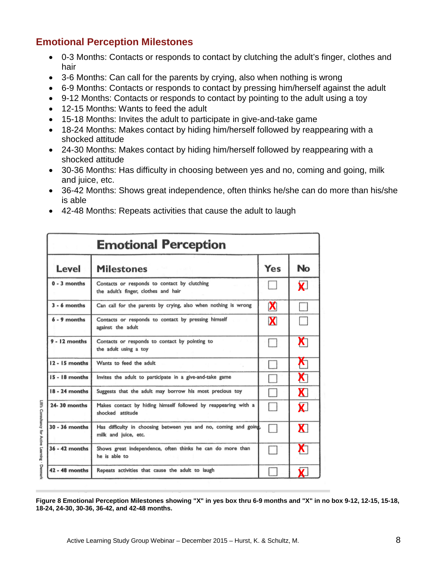### **Emotional Perception Milestones**

- 0-3 Months: Contacts or responds to contact by clutching the adult's finger, clothes and hair
- 3-6 Months: Can call for the parents by crying, also when nothing is wrong
- 6-9 Months: Contacts or responds to contact by pressing him/herself against the adult
- 9-12 Months: Contacts or responds to contact by pointing to the adult using a toy
- 12-15 Months: Wants to feed the adult
- 15-18 Months: Invites the adult to participate in give-and-take game
- 18-24 Months: Makes contact by hiding him/herself followed by reappearing with a shocked attitude
- 24-30 Months: Makes contact by hiding him/herself followed by reappearing with a shocked attitude
- 30-36 Months: Has difficulty in choosing between yes and no, coming and going, milk and juice, etc.
- 36-42 Months: Shows great independence, often thinks he/she can do more than his/she is able
- 42-48 Months: Repeats activities that cause the adult to laugh

|                 | <b>Emotional Perception</b>                                                              |          |                         |
|-----------------|------------------------------------------------------------------------------------------|----------|-------------------------|
| Level           | <b>Milestones</b>                                                                        | Yes      | <b>No</b>               |
| $0 - 3$ months  | Contacts or responds to contact by clutching<br>the adult's finger, clothes and hair     |          | $\overline{\mathbf{X}}$ |
| $3 - 6$ months  | Can call for the parents by crying, also when nothing is wrong                           | $\bm{X}$ |                         |
| $6 - 9$ months  | Contacts or responds to contact by pressing himself<br>against the adult                 | X        |                         |
| $9 - 12$ months | Contacts or responds to contact by pointing to<br>the adult using a toy                  |          | X                       |
| 12 - 15 months  | Wants to feed the adult                                                                  |          | <b>X</b>                |
| 15 - 18 months  | Invites the adult to participate in a give-and-take game                                 |          | X                       |
| 18 - 24 months  | Suggests that the adult may borrow his most precious toy                                 |          | <b>X</b>                |
| 24-30 months    | Makes contact by hiding himself followed by reappearing with a<br>shocked attitude       |          | $\overline{\mathbf{X}}$ |
| 30 - 36 months  | Has difficulty in choosing between yes and no, coming and going,<br>milk and juice, etc. |          | <b>X</b>                |
| 36 - 42 months  | Shows great independence, often thinks he can do more than<br>he is able to              |          | X                       |
| 42 - 48 months  | Repeats activities that cause the adult to laugh                                         |          | X.                      |

**Figure 8 Emotional Perception Milestones showing "X" in yes box thru 6-9 months and "X" in no box 9-12, 12-15, 15-18, 18-24, 24-30, 30-36, 36-42, and 42-48 months.**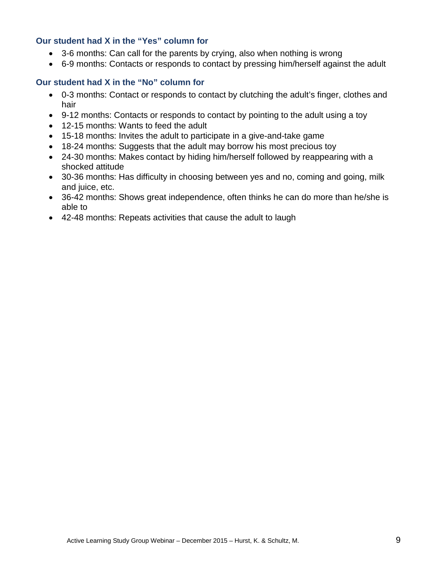#### **Our student had X in the "Yes" column for**

- 3-6 months: Can call for the parents by crying, also when nothing is wrong
- 6-9 months: Contacts or responds to contact by pressing him/herself against the adult

#### **Our student had X in the "No" column for**

- 0-3 months: Contact or responds to contact by clutching the adult's finger, clothes and hair
- 9-12 months: Contacts or responds to contact by pointing to the adult using a toy
- 12-15 months: Wants to feed the adult
- 15-18 months: Invites the adult to participate in a give-and-take game
- 18-24 months: Suggests that the adult may borrow his most precious toy
- 24-30 months: Makes contact by hiding him/herself followed by reappearing with a shocked attitude
- 30-36 months: Has difficulty in choosing between yes and no, coming and going, milk and juice, etc.
- 36-42 months: Shows great independence, often thinks he can do more than he/she is able to
- 42-48 months: Repeats activities that cause the adult to laugh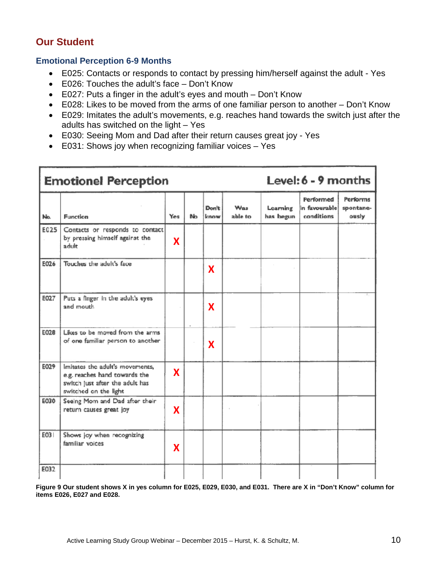#### **Emotional Perception 6-9 Months**

- E025: Contacts or responds to contact by pressing him/herself against the adult Yes
- E026: Touches the adult's face Don't Know
- E027: Puts a finger in the adult's eyes and mouth Don't Know
- E028: Likes to be moved from the arms of one familiar person to another Don't Know
- E029: Imitates the adult's movements, e.g. reaches hand towards the switch just after the adults has switched on the light – Yes
- E030: Seeing Mom and Dad after their return causes great joy Yes
- E031: Shows joy when recognizing familiar voices Yes

|      | <b>Emotionel Perception</b>                                                                                                  | Level: 6 - 9 months |    |               |                       |                       |                                                  |                                       |
|------|------------------------------------------------------------------------------------------------------------------------------|---------------------|----|---------------|-----------------------|-----------------------|--------------------------------------------------|---------------------------------------|
| No.  | <b>Function</b>                                                                                                              | Yes                 | No | Don't<br>know | <b>Was</b><br>able to | Learning<br>has begun | <b>Performed</b><br>in favourable <br>conditions | <b>Performs</b><br>spontane-<br>ously |
| E025 | Contacts or responds to contact<br>by pressing himself against the<br>adult                                                  | X                   |    |               |                       |                       |                                                  |                                       |
| E026 | Touches the adult's face                                                                                                     |                     |    | X             |                       |                       |                                                  |                                       |
| E027 | Puts a finger in the adult's eyes<br>and mouth                                                                               |                     |    | X             |                       |                       |                                                  |                                       |
| E028 | Likes to be moved from the arms<br>of one familiar person to another                                                         |                     |    | X             |                       |                       |                                                  |                                       |
| E029 | Imitates the adult's movements,<br>e.g. reaches hand towards the<br>switch just after the adult has<br>switched on the light | X                   |    |               |                       |                       |                                                  |                                       |
| E030 | Seeing Mom and Dad after their<br>return causes great joy                                                                    | X                   |    |               |                       |                       |                                                  |                                       |
| E03  | Shows joy when recognizing<br>familiar voices                                                                                | X                   |    |               |                       |                       |                                                  |                                       |
| E032 |                                                                                                                              |                     |    |               |                       |                       |                                                  |                                       |

**Figure 9 Our student shows X in yes column for E025, E029, E030, and E031. There are X in "Don't Know" column for items E026, E027 and E028.**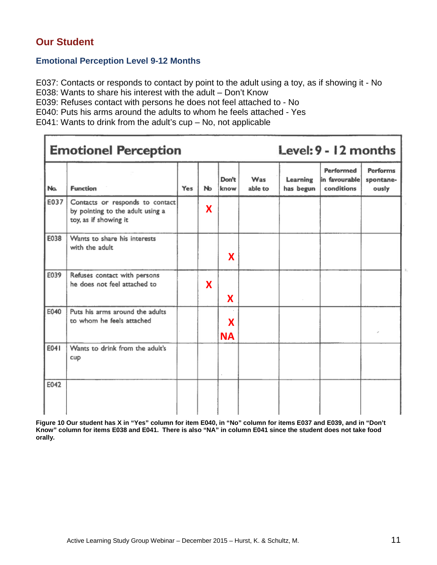г

#### **Emotional Perception Level 9-12 Months**

E037: Contacts or responds to contact by point to the adult using a toy, as if showing it - No

E038: Wants to share his interest with the adult – Don't Know

E039: Refuses contact with persons he does not feel attached to - No

E040: Puts his arms around the adults to whom he feels attached - Yes

E041: Wants to drink from the adult's cup – No, not applicable

|      | <b>Emotionel Perception</b>                                                                  |     | Level: 9 - 12 months |                |                |                       |                                          |                                       |
|------|----------------------------------------------------------------------------------------------|-----|----------------------|----------------|----------------|-----------------------|------------------------------------------|---------------------------------------|
| No.  | <b>Function</b>                                                                              | Yes | Nb                   | Don't<br>know  | Was<br>able to | Learning<br>has begun | Performed<br>in favourable<br>conditions | <b>Performs</b><br>spontane-<br>ously |
| E037 | Contacts or responds to contact<br>by pointing to the adult using a<br>toy, as if showing it |     | X                    |                |                |                       |                                          |                                       |
| E038 | Wants to share his interests<br>with the adult                                               |     |                      | X              |                |                       |                                          |                                       |
| E039 | Refuses contact with persons<br>he does not feel attached to                                 |     | X                    | <b>X</b>       |                |                       |                                          |                                       |
| E040 | Puts his arms around the adults<br>to whom he feels attached                                 |     |                      | X<br><b>NA</b> |                |                       |                                          |                                       |
| E041 | Wants to drink from the adult's<br>cup                                                       |     |                      |                |                |                       |                                          |                                       |
| E042 |                                                                                              |     |                      |                |                |                       |                                          |                                       |

**Figure 10 Our student has X in "Yes" column for item E040, in "No" column for items E037 and E039, and in "Don't Know" column for items E038 and E041. There is also "NA" in column E041 since the student does not take food orally.**

٦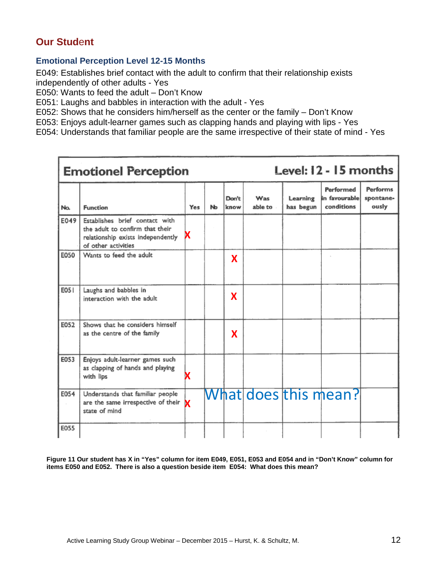#### **Emotional Perception Level 12-15 Months**

E049: Establishes brief contact with the adult to confirm that their relationship exists independently of other adults - Yes

E050: Wants to feed the adult – Don't Know

E051: Laughs and babbles in interaction with the adult - Yes

E052: Shows that he considers him/herself as the center or the family – Don't Know

E053: Enjoys adult-learner games such as clapping hands and playing with lips - Yes

E054: Understands that familiar people are the same irrespective of their state of mind - Yes

|      | <b>Emotionel Perception</b>                                                                                                   | Level: 12 - 15 months |    |               |                |                       |                                          |                                       |
|------|-------------------------------------------------------------------------------------------------------------------------------|-----------------------|----|---------------|----------------|-----------------------|------------------------------------------|---------------------------------------|
| No.  | <b>Function</b>                                                                                                               | Yes                   | Nb | Don't<br>know | Was<br>able to | Learning<br>has begun | Performed<br>in favourable<br>conditions | <b>Performs</b><br>spontane-<br>ously |
| E049 | Establishes brief contact with<br>the adult to confirm that their<br>relationship exists independently<br>of other activities |                       |    |               |                |                       |                                          |                                       |
| E050 | Wants to feed the adult                                                                                                       |                       |    | X             |                |                       |                                          |                                       |
| E051 | Laughs and babbles in<br>interaction with the adult                                                                           |                       |    | X             |                |                       |                                          |                                       |
| E052 | Shows that he considers himself<br>as the centre of the family                                                                |                       |    | X             |                |                       |                                          |                                       |
| E053 | Enjoys adult-learner games such<br>as clapping of hands and playing<br>with lips                                              |                       |    |               |                |                       |                                          |                                       |
| E054 | Understands that familiar people<br>are the same irrespective of their<br>state of mind                                       |                       |    |               |                |                       | What does this mean?                     |                                       |
| E055 |                                                                                                                               |                       |    |               |                |                       |                                          |                                       |

**Figure 11 Our student has X in "Yes" column for item E049, E051, E053 and E054 and in "Don't Know" column for items E050 and E052. There is also a question beside item E054: What does this mean?**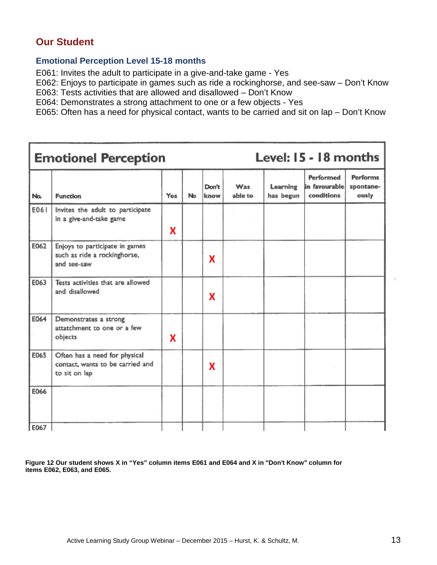#### **Emotional Perception Level 15-18 months**

E061: Invites the adult to participate in a give-and-take game - Yes

E062: Enjoys to participate in games such as ride a rockinghorse, and see-saw – Don't Know

E063: Tests activities that are allowed and disallowed – Don't Know

E064: Demonstrates a strong attachment to one or a few objects - Yes

E065: Often has a need for physical contact, wants to be carried and sit on lap – Don't Know

|      | <b>Emotionel Perception</b>                                                        | Level: 15 - 18 months |    |               |                |                       |                                          |                                |
|------|------------------------------------------------------------------------------------|-----------------------|----|---------------|----------------|-----------------------|------------------------------------------|--------------------------------|
| No.  | <b>Function</b>                                                                    | Yes                   | No | Don't<br>know | Was<br>able to | Learning<br>has begun | Performed<br>in favourable<br>conditions | Performs<br>spontane-<br>ously |
| E061 | Invites the adult to participate<br>in a give-and-take game                        | X                     |    |               |                |                       |                                          |                                |
| E062 | Enjoys to participate in games<br>such as ride a rockinghorse,<br>and see-saw      |                       |    | X             |                |                       |                                          |                                |
| E063 | Tests activities that are allowed<br>and disallowed                                |                       |    | X             |                |                       |                                          |                                |
| E064 | Demonstrates a strong<br>attatchment to one or a few<br>objects                    | X                     |    |               |                |                       |                                          |                                |
| E065 | Often has a need for physical<br>contact, wants to be carried and<br>to sit on lap |                       |    | X             |                |                       |                                          |                                |
| E066 |                                                                                    |                       |    |               |                |                       |                                          |                                |
| E067 |                                                                                    |                       |    |               |                |                       |                                          |                                |

**Figure 12 Our student shows X in "Yes" column items E061 and E064 and X in "Don't Know" column for items E062, E063, and E065.**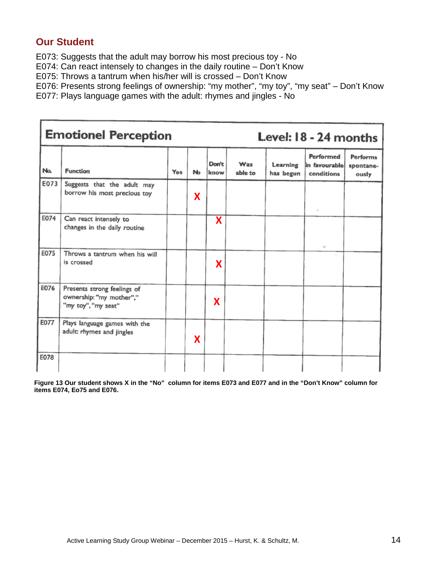E073: Suggests that the adult may borrow his most precious toy - No

E074: Can react intensely to changes in the daily routine – Don't Know

E075: Throws a tantrum when his/her will is crossed – Don't Know

E076: Presents strong feelings of ownership: "my mother", "my toy", "my seat" – Don't Know

E077: Plays language games with the adult: rhymes and jingles - No

|      | <b>Emotionel Perception</b>                                                    | Level: 18 - 24 months |    |               |                |                       |                                                 |                                |
|------|--------------------------------------------------------------------------------|-----------------------|----|---------------|----------------|-----------------------|-------------------------------------------------|--------------------------------|
| No.  | <b>Function</b>                                                                | Yes                   | Nb | Don't<br>know | Was<br>able to | Learning<br>has begun | <b>Performed</b><br>in favourable<br>conditions | Performs<br>spontane-<br>ously |
| E073 | Suggests that the adult may<br>borrow his most precious toy                    |                       | X  |               |                |                       |                                                 |                                |
| E074 | Can react intensely to<br>changes in the daily routine                         |                       |    | X             |                |                       | $\sigma_{\rm P}^{\rm e}$                        |                                |
| E075 | Throws a tantrum when his will<br>is crossed                                   |                       |    | X             |                |                       |                                                 |                                |
| E076 | Presents strong feelings of<br>ownership: "my mother","<br>"my toy", "my seat" |                       |    | X             |                |                       |                                                 |                                |
| E077 | Plays language games with the<br>adult: rhymes and jingles                     |                       | X  |               |                |                       |                                                 |                                |
| E078 |                                                                                |                       |    |               |                |                       |                                                 |                                |

**Figure 13 Our student shows X in the "No" column for items E073 and E077 and in the "Don't Know" column for items E074, Eo75 and E076.**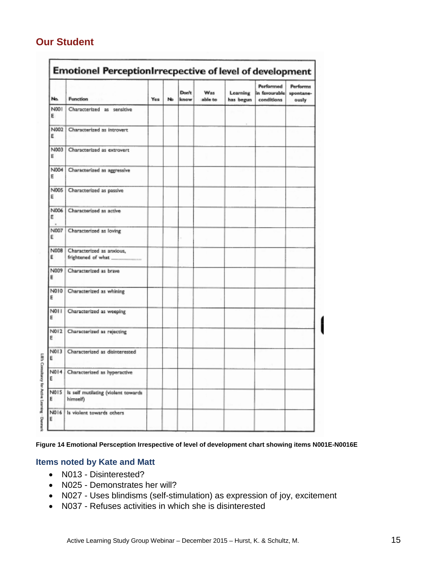| Na.       | Function                                         | Yes | No | Don't<br>know | Was<br>able to | Learning<br>has begun | Performed<br>in favourable<br>conditions | <b>Performs</b><br>spontane-<br>ously |
|-----------|--------------------------------------------------|-----|----|---------------|----------------|-----------------------|------------------------------------------|---------------------------------------|
| N001<br>E | Characterized as sensitive                       |     |    |               |                |                       |                                          |                                       |
| N002<br>E | Characterized as introvert                       |     |    |               |                |                       |                                          |                                       |
| N003<br>Ë | Characterized as extrovert                       |     |    |               |                |                       |                                          |                                       |
| N004<br>E | Characterized as aggressive                      |     |    |               |                |                       |                                          |                                       |
| N005<br>Ë | Characterized as passive                         |     |    |               |                |                       |                                          |                                       |
| N006<br>Ε | Characterized as active                          |     |    |               |                |                       |                                          |                                       |
| N007<br>E | Characterized as loving                          |     |    |               |                |                       |                                          |                                       |
| N008<br>E | Characterized as anxious,<br>frightened of what. |     |    |               |                |                       |                                          |                                       |
| N009<br>E | Characterized as brave                           |     |    |               |                |                       |                                          |                                       |
| N010<br>Ε | Characterized as whining                         |     |    |               |                |                       |                                          |                                       |
| NOIL<br>Ε | Characterized as weeping                         |     |    |               |                |                       |                                          |                                       |
| N012<br>E | Characterized as rejecting                       |     |    |               |                |                       |                                          |                                       |
| N013<br>Ε | Characterized as disinterested                   |     |    |               |                |                       |                                          |                                       |
| N014<br>Е | Characterized as hyperactive                     |     |    |               |                |                       |                                          |                                       |
| N015<br>Е | Is self mutilating (violent towards<br>himself)  |     |    |               |                |                       |                                          |                                       |
| N016<br>E | Is violent towards others                        |     |    |               |                |                       |                                          |                                       |

**Figure 14 Emotional Persception Irrespective of level of development chart showing items N001E-N0016E**

#### **Items noted by Kate and Matt**

- N013 Disinterested?
- N025 Demonstrates her will?
- N027 Uses blindisms (self-stimulation) as expression of joy, excitement
- N037 Refuses activities in which she is disinterested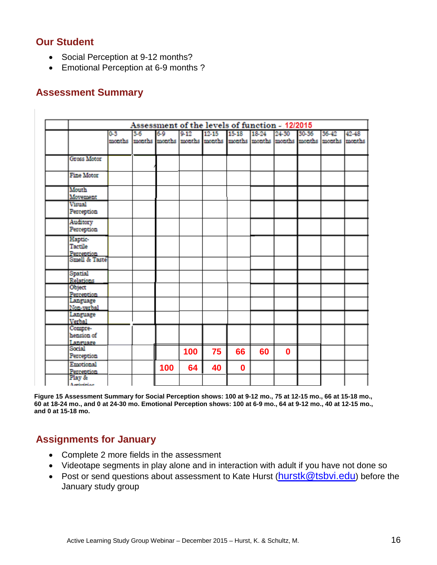- Social Perception at 9-12 months?
- Emotional Perception at 6-9 months ?

### **Assessment Summary**

| Assessment of the levels of function - 12/2015    |                 |       |                          |                    |                                                               |          |       |          |       |       |       |
|---------------------------------------------------|-----------------|-------|--------------------------|--------------------|---------------------------------------------------------------|----------|-------|----------|-------|-------|-------|
|                                                   | $0-3$<br>months | $3-6$ | $6 - 9$<br>months months | $9 - 12$<br>months | $12 - 15$<br>months months months months months months months | 15-18    | 18-24 | $24-30$  | 30-36 | 36-42 | 42-48 |
| <b>Gross Motor</b>                                |                 |       |                          |                    |                                                               |          |       |          |       |       |       |
| <b>Fine Motor</b>                                 |                 |       |                          |                    |                                                               |          |       |          |       |       |       |
| Mouth<br>Movement                                 |                 |       |                          |                    |                                                               |          |       |          |       |       |       |
| Visual<br>Perception                              |                 |       |                          |                    |                                                               |          |       |          |       |       |       |
| Auditory<br>Perception                            |                 |       |                          |                    |                                                               |          |       |          |       |       |       |
| Haptic-<br>Tactile<br>Perception<br>Smell & Taste |                 |       |                          |                    |                                                               |          |       |          |       |       |       |
|                                                   |                 |       |                          |                    |                                                               |          |       |          |       |       |       |
| Spatial<br>Relations                              |                 |       |                          |                    |                                                               |          |       |          |       |       |       |
| Object<br>Perception                              |                 |       |                          |                    |                                                               |          |       |          |       |       |       |
| Language<br>Non-verbal                            |                 |       |                          |                    |                                                               |          |       |          |       |       |       |
| Language<br>Verbal                                |                 |       |                          |                    |                                                               |          |       |          |       |       |       |
| Compre-<br>hension of<br>Language                 |                 |       |                          |                    |                                                               |          |       |          |       |       |       |
| Social<br>Perception                              |                 |       |                          | 100                | 75                                                            | 66       | 60    | $\bf{0}$ |       |       |       |
| Emotional<br>Perception                           |                 |       | 100                      | 64                 | 40                                                            | $\bf{0}$ |       |          |       |       |       |
| Play &<br>Application                             |                 |       |                          |                    |                                                               |          |       |          |       |       |       |

**Figure 15 Assessment Summary for Social Perception shows: 100 at 9-12 mo., 75 at 12-15 mo., 66 at 15-18 mo., 60 at 18-24 mo., and 0 at 24-30 mo. Emotional Perception shows: 100 at 6-9 mo., 64 at 9-12 mo., 40 at 12-15 mo., and 0 at 15-18 mo.**

### **Assignments for January**

- Complete 2 more fields in the assessment
- Videotape segments in play alone and in interaction with adult if you have not done so
- Post or send questions about assessment to Kate Hurst [\(hurstk@tsbvi.edu\)](mailto:hurstk@tsbvi.edu) before the January study group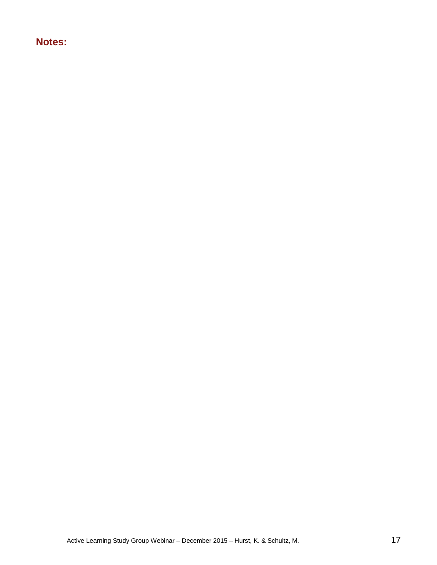### **Notes:**